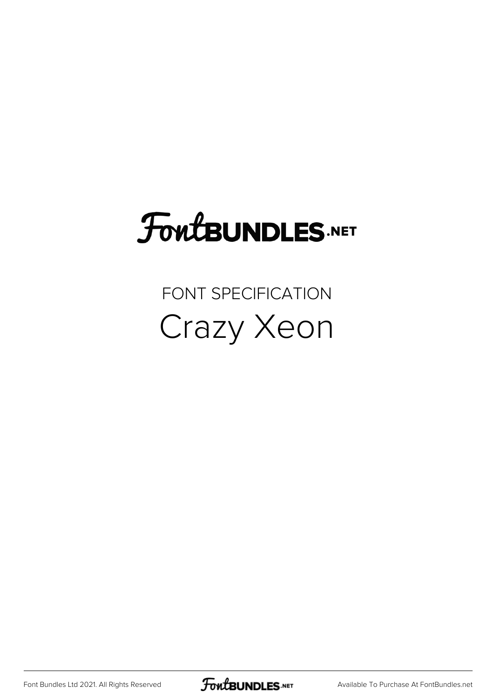## FoutBUNDLES.NET

## FONT SPECIFICATION Crazy Xeon

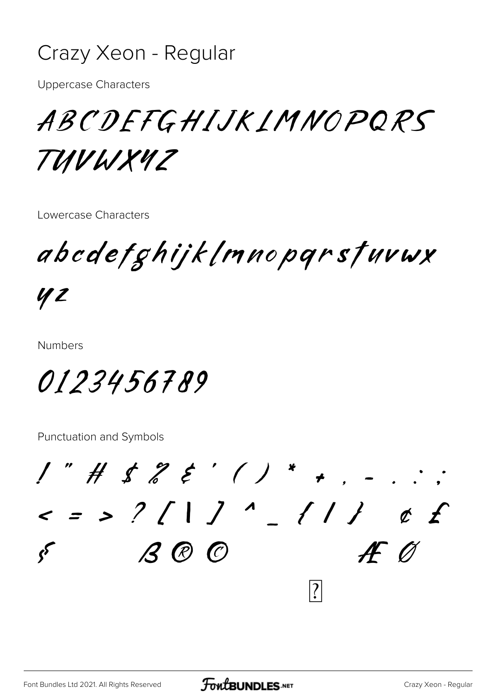## Crazy Xeon - Regular

**Uppercase Characters** 

ABCDEFGHIJKIMNOPQRS TUVWX4Z

Lowercase Characters

abedefghijklmnoparstuvwx

42

**Numbers** 

0123456789

Punctuation and Symbols

 $1"$  # \$  $2$  & ' ( ) \* + .  $\langle$  = > ? [ | ] ' \_ { | } | ¢ f  $\overline{\phantom{a}}$  $f \circ f$ fi 99  $\bullet$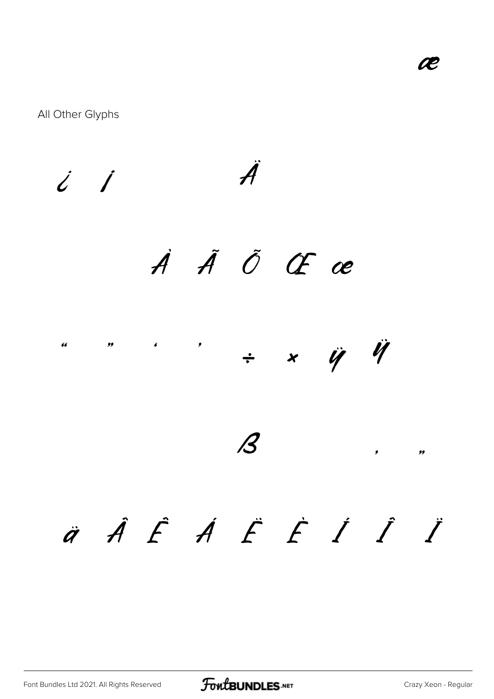$\%$ 

All Other Glyphs

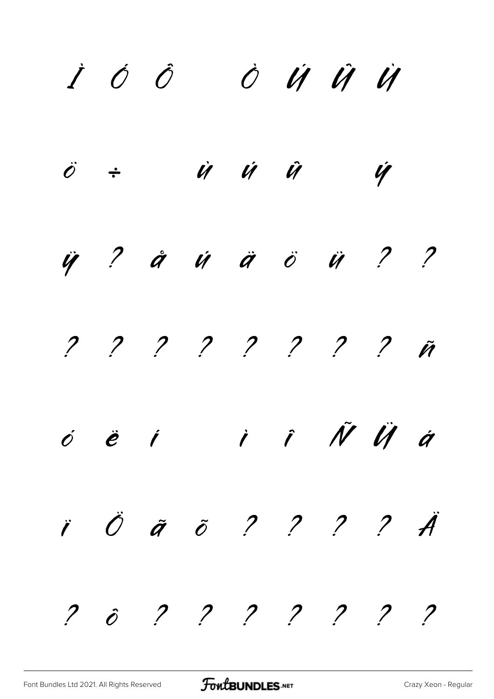